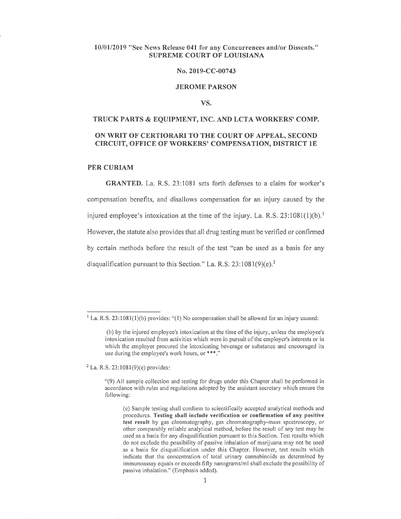# 10/01/2019 "See News Release 041 for any Concurrences and/or Dissents." SUPREME COURT OF LOUISIANA

## No. 2019-CC-00743

## JEROME PARSON

#### VS.

# TRUCK PARTS & EQUIPMENT, INC. AND LCTA WORKERS' COMP. oN WRIT OF CERTIORARI TO THE COURT OF APPEAL, SECOND CIRCUIT, OFFICE OF WORKERS' COMPENSATION, DISTRICT lE

## PER CURIAM

GRANTED. La, R,S.23:1081 sets forth defenses to a claim for worker's compensation benefits, and disallows compensation for an injury caused by the injured employee's intoxication at the time of the injury. La, R.S.  $23:1081(1)(b)$ .<sup>1</sup> However, the statute also provides that all drug testing must be verified or confirmed by certain methods before the result of the test "can be used as a basis for any disqualification pursuant to this Section." La, R.S.  $23:1081(9)(e)$ .<sup>2</sup>

 $2$  La. R.S. 23:1081(9)(e) provides:

 $<sup>1</sup>$  La, R.S. 23:1081(1)(b) provides: "(1) No compensation shall be allowed for an injury caused:</sup>

<sup>(</sup>b) by the injured employee's intoxication at the time of the injury, unless the employee's intoxication resulted from activities which were in pursuit of the employer's interests or in which the employer procured the intoxicating beverage or substance and encouraged its use during the employee's work hours, or \*\*\*."

 $(9)$  All sample collection and testing for drugs under this Chapter shall be performed in accordance with rules and regulations adopted by the assistant secretary which ensure the following:

<sup>(</sup>e) Sample testing shall conform to scientifically accepted analytical methods and procedures. Testing shall include verification or confirmation of any positive test result by gas chromatography, gas chromatography-mass spectroscopy, or other comparably reliable analytical method, before the result of any test may be used as a basis for any disqualifìcation pursuant to this Section. Test results which do not exclude the possibility of passive inhalation of marijuana may not be used as a basis for disqualification under this Chapter. However, test results which indicate that the concentration of total urinary cannabinoids as determined by immunoassay equals or exceeds fifty nanograms/ml shall exclude the possibility of passive inhalation." (Emphasis added).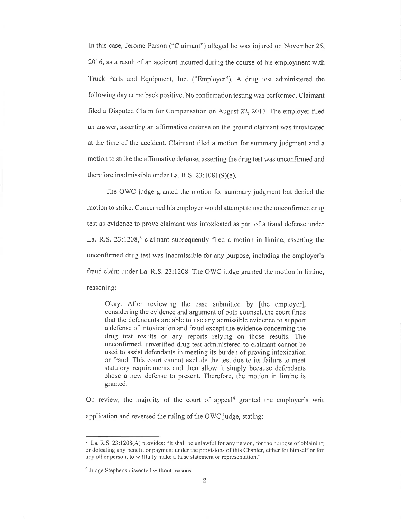In this case, Jerome Parson ("Claimant") alleged he was injured on November 25, 2016, as a result of an accident incurred during the course of his employment with Truck Parts and Equipment, Inc. ("Employer"). A drug test administered the following day came back positive. No confirmation testing was performed. Claimant filed a Disputed Claim for Compensation on August 22, 2017. The employer filed an answer, asserting an affirmative defense on the ground claimant was intoxicated at the time of the accident. Claimant filed a motion for summary judgment and a motion to strike the affirmative defense, asserting the drug test was unconfirmed and therefore inadmissible under La. R.S. 23:1081(9)(e),

The OWC judge granted the motion for summary judgment but denied the motion to strike, Concerned his employer would attempt to use the unconfrrmed drug test as evidence to prove claimant was intoxicated as part of a fraud defense under La. R.S.  $23:1208$ ,<sup>3</sup> claimant subsequently filed a motion in limine, asserting the unconfirmed drug test was inadmissible for any purpose, including the employer's fraud claim under La. R.S. 23:1208, The OWC judge granted the motion in limine, reasoning:

Okay, After reviewing the case submitted by [the employer], considering the evidence and argument of both counsel, the court finds that the defendants are able to use any admissible evidence to support a defense of intoxication and fraud except the evidence concerning the drug test results or any reports relying on those results. The unconfirmed, unverified drug test administered to claimant cannot be used to assist defendants in meeting its burden of proving intoxication or fraud. This court cannot exclude the test due to its failure to meet statutory requirements and then allow it simply because defendants chose a new defense to present. Therefore, the motion in limine is granted.

On review, the majority of the court of appeal<sup>4</sup> granted the employer's writ application and reversed the ruling of the OWC judge, stating:

 $3$  La. R.S. 23:1208(A) provides: "It shall be unlawful for any person, for the purpose of obtaining or defèating any benefit or payment under the provisions of this Chapter, either for himself or for any other person, to willfully make a false statement or representation,"

<sup>&</sup>lt;sup>4</sup> Judge Stephens dissented without reasons.